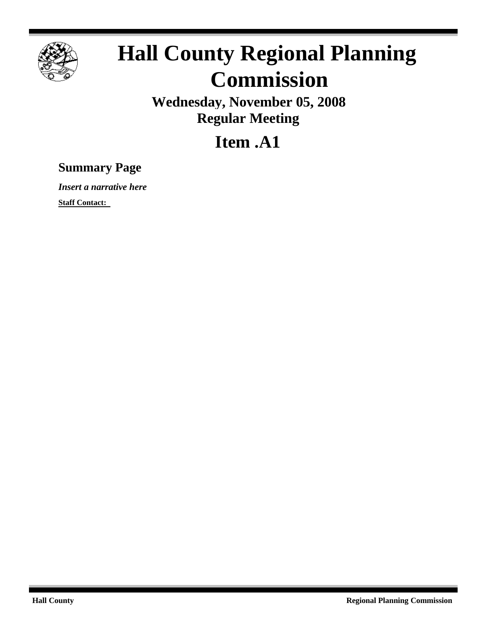

## **Hall County Regional Planning Commission**

**Wednesday, November 05, 2008 Regular Meeting**

## **Item .A1**

## **Summary Page**

*Insert a narrative here*

**Staff Contact:**